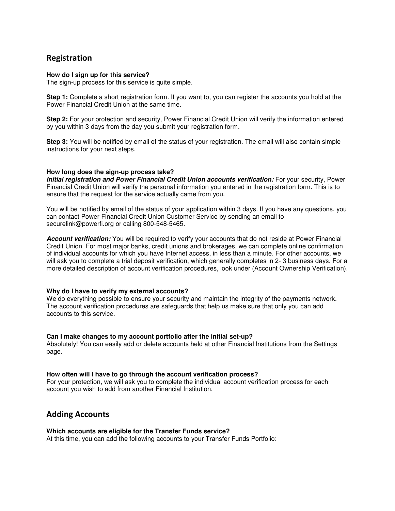# Registration

# **How do I sign up for this service?**

The sign-up process for this service is quite simple.

**Step 1:** Complete a short registration form. If you want to, you can register the accounts you hold at the Power Financial Credit Union at the same time.

**Step 2:** For your protection and security, Power Financial Credit Union will verify the information entered by you within 3 days from the day you submit your registration form.

**Step 3:** You will be notified by email of the status of your registration. The email will also contain simple instructions for your next steps.

# **How long does the sign-up process take?**

**Initial registration and Power Financial Credit Union accounts verification:** For your security, Power Financial Credit Union will verify the personal information you entered in the registration form. This is to ensure that the request for the service actually came from you.

You will be notified by email of the status of your application within 3 days. If you have any questions, you can contact Power Financial Credit Union Customer Service by sending an email to securelink@powerfi.org or calling 800-548-5465.

**Account verification:** You will be required to verify your accounts that do not reside at Power Financial Credit Union. For most major banks, credit unions and brokerages, we can complete online confirmation of individual accounts for which you have Internet access, in less than a minute. For other accounts, we will ask you to complete a trial deposit verification, which generally completes in 2- 3 business days. For a more detailed description of account verification procedures, look under (Account Ownership Verification).

# **Why do I have to verify my external accounts?**

We do everything possible to ensure your security and maintain the integrity of the payments network. The account verification procedures are safeguards that help us make sure that only you can add accounts to this service.

# **Can I make changes to my account portfolio after the initial set-up?**

Absolutely! You can easily add or delete accounts held at other Financial Institutions from the Settings page.

# **How often will I have to go through the account verification process?**

For your protection, we will ask you to complete the individual account verification process for each account you wish to add from another Financial Institution.

# Adding Accounts

# **Which accounts are eligible for the Transfer Funds service?**

At this time, you can add the following accounts to your Transfer Funds Portfolio: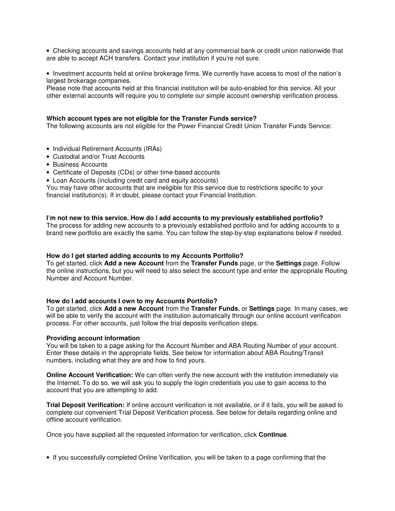• Checking accounts and savings accounts held at any commercial bank or credit union nationwide that are able to accept ACH transfers. Contact your institution if you're not sure.

• Investment accounts held at online brokerage firms. We currently have access to most of the nation's largest brokerage companies.

Please note that accounts held at this financial institution will be auto-enabled for this service. All your other external accounts will require you to complete our simple account ownership verification process.

### **Which account types are not eligible for the Transfer Funds service?**

The following accounts are not eligible for the Power Financial Credit Union Transfer Funds Service:

- Individual Retirement Accounts (IRAs)
- Custodial and/or Trust Accounts
- Business Accounts
- Certificate of Deposits (CDs) or other time-based accounts
- Loan Accounts (including credit card and equity accounts)

You may have other accounts that are ineligible for this service due to restrictions specific to your financial institution(s). If in doubt, please contact your Financial Institution.

# **I'm not new to this service. How do I add accounts to my previously established portfolio?**

The process for adding new accounts to a previously established portfolio and for adding accounts to a brand new portfolio are exactly the same. You can follow the step-by-step explanations below if needed.

## **How do I get started adding accounts to my Accounts Portfolio?**

To get started, click **Add a new Account** from the **Transfer Funds** page, or the **Settings** page. Follow the online instructions, but you will need to also select the account type and enter the appropriate Routing Number and Account Number.

#### **How do I add accounts I own to my Accounts Portfolio?**

To get started, click **Add a new Account** from the **Transfer Funds**, or **Settings** page. In many cases, we will be able to verify the account with the institution automatically through our online account verification process. For other accounts, just follow the trial deposits verification steps.

#### **Providing account information**

You will be taken to a page asking for the Account Number and ABA Routing Number of your account. Enter these details in the appropriate fields. See below for information about ABA Routing/Transit numbers, including what they are and how to find yours.

**Online Account Verification:** We can often verify the new account with the institution immediately via the Internet. To do so, we will ask you to supply the login credentials you use to gain access to the account that you are attempting to add.

**Trial Deposit Verification:** If online account verification is not available, or if it fails, you will be asked to complete our convenient Trial Deposit Verification process. See below for details regarding online and offline account verification.

Once you have supplied all the requested information for verification, click **Continue**.

• If you successfully completed Online Verification, you will be taken to a page confirming that the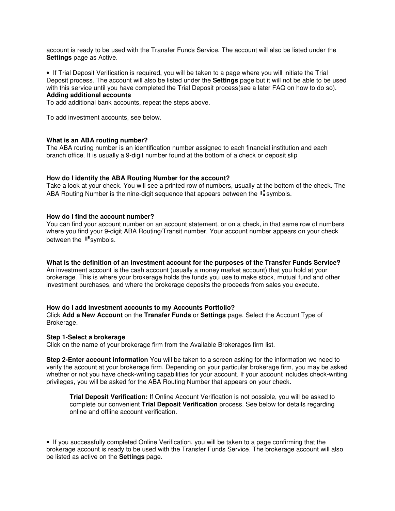account is ready to be used with the Transfer Funds Service. The account will also be listed under the **Settings** page as Active.

• If Trial Deposit Verification is required, you will be taken to a page where you will initiate the Trial Deposit process. The account will also be listed under the **Settings** page but it will not be able to be used with this service until you have completed the Trial Deposit process(see a later FAQ on how to do so). **Adding additional accounts**

To add additional bank accounts, repeat the steps above.

To add investment accounts, see below.

# **What is an ABA routing number?**

The ABA routing number is an identification number assigned to each financial institution and each branch office. It is usually a 9-digit number found at the bottom of a check or deposit slip

# **How do I identify the ABA Routing Number for the account?**

Take a look at your check. You will see a printed row of numbers, usually at the bottom of the check. The ABA Routing Number is the nine-digit sequence that appears between the  $\mathsf{I}$  symbols.

## **How do I find the account number?**

You can find your account number on an account statement, or on a check, in that same row of numbers where you find your 9-digit ABA Routing/Transit number. Your account number appears on your check between the  $\mathbb{I}^{\bullet}$  symbols.

# **What is the definition of an investment account for the purposes of the Transfer Funds Service?**

An investment account is the cash account (usually a money market account) that you hold at your brokerage. This is where your brokerage holds the funds you use to make stock, mutual fund and other investment purchases, and where the brokerage deposits the proceeds from sales you execute.

# **How do I add investment accounts to my Accounts Portfolio?**

Click **Add a New Account** on the **Transfer Funds** or **Settings** page. Select the Account Type of Brokerage.

#### **Step 1-Select a brokerage**

Click on the name of your brokerage firm from the Available Brokerages firm list.

**Step 2-Enter account information** You will be taken to a screen asking for the information we need to verify the account at your brokerage firm. Depending on your particular brokerage firm, you may be asked whether or not you have check-writing capabilities for your account. If your account includes check-writing privileges, you will be asked for the ABA Routing Number that appears on your check.

**Trial Deposit Verification:** If Online Account Verification is not possible, you will be asked to complete our convenient **Trial Deposit Verification** process. See below for details regarding online and offline account verification.

• If you successfully completed Online Verification, you will be taken to a page confirming that the brokerage account is ready to be used with the Transfer Funds Service. The brokerage account will also be listed as active on the **Settings** page.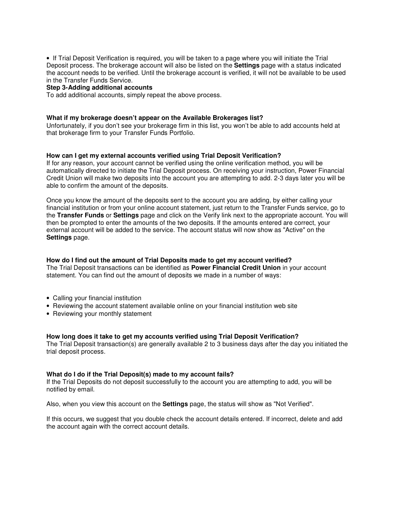• If Trial Deposit Verification is required, you will be taken to a page where you will initiate the Trial Deposit process. The brokerage account will also be listed on the **Settings** page with a status indicated the account needs to be verified. Until the brokerage account is verified, it will not be available to be used in the Transfer Funds Service.

# **Step 3-Adding additional accounts**

To add additional accounts, simply repeat the above process.

## **What if my brokerage doesn't appear on the Available Brokerages list?**

Unfortunately, if you don't see your brokerage firm in this list, you won't be able to add accounts held at that brokerage firm to your Transfer Funds Portfolio.

## **How can I get my external accounts verified using Trial Deposit Verification?**

If for any reason, your account cannot be verified using the online verification method, you will be automatically directed to initiate the Trial Deposit process. On receiving your instruction, Power Financial Credit Union will make two deposits into the account you are attempting to add. 2-3 days later you will be able to confirm the amount of the deposits.

Once you know the amount of the deposits sent to the account you are adding, by either calling your financial institution or from your online account statement, just return to the Transfer Funds service, go to the **Transfer Funds** or **Settings** page and click on the Verify link next to the appropriate account. You will then be prompted to enter the amounts of the two deposits. If the amounts entered are correct, your external account will be added to the service. The account status will now show as "Active" on the **Settings** page.

# **How do I find out the amount of Trial Deposits made to get my account verified?**

The Trial Deposit transactions can be identified as **Power Financial Credit Union** in your account statement. You can find out the amount of deposits we made in a number of ways:

- Calling your financial institution
- Reviewing the account statement available online on your financial institution web site
- Reviewing your monthly statement

#### **How long does it take to get my accounts verified using Trial Deposit Verification?**

The Trial Deposit transaction(s) are generally available 2 to 3 business days after the day you initiated the trial deposit process.

# **What do I do if the Trial Deposit(s) made to my account fails?**

If the Trial Deposits do not deposit successfully to the account you are attempting to add, you will be notified by email.

Also, when you view this account on the **Settings** page, the status will show as "Not Verified".

If this occurs, we suggest that you double check the account details entered. If incorrect, delete and add the account again with the correct account details.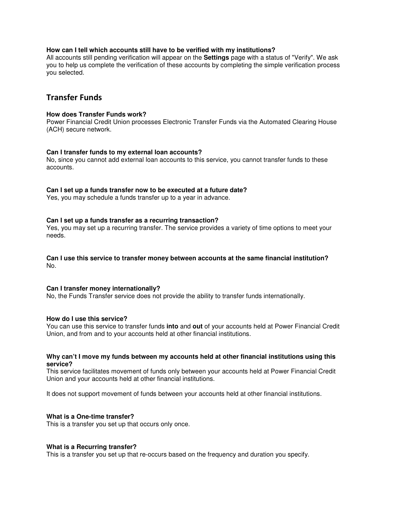# **How can I tell which accounts still have to be verified with my institutions?**

All accounts still pending verification will appear on the **Settings** page with a status of "Verify". We ask you to help us complete the verification of these accounts by completing the simple verification process you selected.

# Transfer Funds

# **How does Transfer Funds work?**

Power Financial Credit Union processes Electronic Transfer Funds via the Automated Clearing House (ACH) secure network.

# **Can I transfer funds to my external loan accounts?**

No, since you cannot add external loan accounts to this service, you cannot transfer funds to these accounts.

# **Can I set up a funds transfer now to be executed at a future date?**

Yes, you may schedule a funds transfer up to a year in advance.

## **Can I set up a funds transfer as a recurring transaction?**

Yes, you may set up a recurring transfer. The service provides a variety of time options to meet your needs.

# **Can I use this service to transfer money between accounts at the same financial institution?**  No.

### **Can I transfer money internationally?**

No, the Funds Transfer service does not provide the ability to transfer funds internationally.

# **How do I use this service?**

You can use this service to transfer funds **into** and **out** of your accounts held at Power Financial Credit Union, and from and to your accounts held at other financial institutions.

## **Why can't I move my funds between my accounts held at other financial institutions using this service?**

This service facilitates movement of funds only between your accounts held at Power Financial Credit Union and your accounts held at other financial institutions.

It does not support movement of funds between your accounts held at other financial institutions.

# **What is a One-time transfer?**

This is a transfer you set up that occurs only once.

# **What is a Recurring transfer?**

This is a transfer you set up that re-occurs based on the frequency and duration you specify.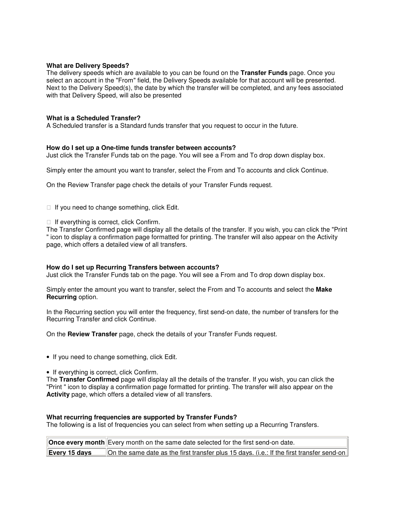# **What are Delivery Speeds?**

The delivery speeds which are available to you can be found on the **Transfer Funds** page. Once you select an account in the "From" field, the Delivery Speeds available for that account will be presented. Next to the Delivery Speed(s), the date by which the transfer will be completed, and any fees associated with that Delivery Speed, will also be presented

# **What is a Scheduled Transfer?**

A Scheduled transfer is a Standard funds transfer that you request to occur in the future.

# **How do I set up a One-time funds transfer between accounts?**

Just click the Transfer Funds tab on the page. You will see a From and To drop down display box.

Simply enter the amount you want to transfer, select the From and To accounts and click Continue.

On the Review Transfer page check the details of your Transfer Funds request.

If you need to change something, click Edit.

If everything is correct, click Confirm.

The Transfer Confirmed page will display all the details of the transfer. If you wish, you can click the "Print " icon to display a confirmation page formatted for printing. The transfer will also appear on the Activity page, which offers a detailed view of all transfers.

# **How do I set up Recurring Transfers between accounts?**

Just click the Transfer Funds tab on the page. You will see a From and To drop down display box.

Simply enter the amount you want to transfer, select the From and To accounts and select the **Make Recurring** option.

In the Recurring section you will enter the frequency, first send-on date, the number of transfers for the Recurring Transfer and click Continue.

On the **Review Transfer** page, check the details of your Transfer Funds request.

• If you need to change something, click Edit.

• If everything is correct, click Confirm.

The **Transfer Confirmed** page will display all the details of the transfer. If you wish, you can click the "Print " icon to display a confirmation page formatted for printing. The transfer will also appear on the **Activity** page, which offers a detailed view of all transfers.

# **What recurring frequencies are supported by Transfer Funds?**

The following is a list of frequencies you can select from when setting up a Recurring Transfers.

|               | Once every month Every month on the same date selected for the first send-on date.        |
|---------------|-------------------------------------------------------------------------------------------|
| Every 15 days | On the same date as the first transfer plus 15 days. (i.e.: If the first transfer send-on |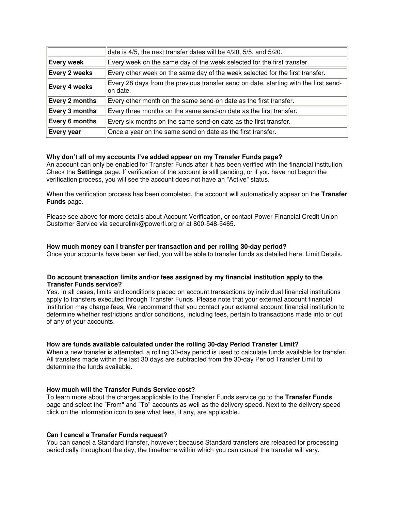| date is 4/5, the next transfer dates will be 4/20, 5/5, and 5/20.                                 |  |
|---------------------------------------------------------------------------------------------------|--|
| Every week on the same day of the week selected for the first transfer.                           |  |
| Every other week on the same day of the week selected for the first transfer.                     |  |
| Every 28 days from the previous transfer send on date, starting with the first send-<br>lon date. |  |
| Every other month on the same send-on date as the first transfer.                                 |  |
| Every three months on the same send-on date as the first transfer.                                |  |
| Every six months on the same send-on date as the first transfer.                                  |  |
| Once a year on the same send on date as the first transfer.                                       |  |
|                                                                                                   |  |

# **Why don't all of my accounts I've added appear on my Transfer Funds page?**

An account can only be enabled for Transfer Funds after it has been verified with the financial institution. Check the **Settings** page. If verification of the account is still pending, or if you have not begun the verification process, you will see the account does not have an "Active" status.

When the verification process has been completed, the account will automatically appear on the **Transfer Funds** page.

Please see above for more details about Account Verification, or contact Power Financial Credit Union Customer Service via securelink@powerfi.org or at 800-548-5465.

# **How much money can I transfer per transaction and per rolling 30-day period?**

Once your accounts have been verified, you will be able to transfer funds as detailed here: Limit Details.

# **Do account transaction limits and/or fees assigned by my financial institution apply to the Transfer Funds service?**

Yes. In all cases, limits and conditions placed on account transactions by individual financial institutions apply to transfers executed through Transfer Funds. Please note that your external account financial institution may charge fees. We recommend that you contact your external account financial institution to determine whether restrictions and/or conditions, including fees, pertain to transactions made into or out of any of your accounts.

# **How are funds available calculated under the rolling 30-day Period Transfer Limit?**

When a new transfer is attempted, a rolling 30-day period is used to calculate funds available for transfer. All transfers made within the last 30 days are subtracted from the 30-day Period Transfer Limit to determine the funds available.

# **How much will the Transfer Funds Service cost?**

To learn more about the charges applicable to the Transfer Funds service go to the **Transfer Funds** page and select the "From" and "To" accounts as well as the delivery speed. Next to the delivery speed click on the information icon to see what fees, if any, are applicable.

# **Can I cancel a Transfer Funds request?**

You can cancel a Standard transfer, however; because Standard transfers are released for processing periodically throughout the day, the timeframe within which you can cancel the transfer will vary.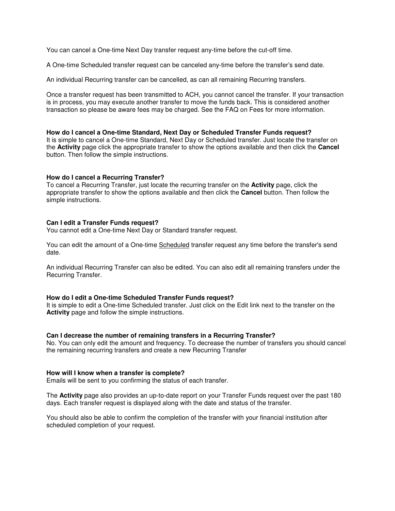You can cancel a One-time Next Day transfer request any-time before the cut-off time.

A One-time Scheduled transfer request can be canceled any-time before the transfer's send date.

An individual Recurring transfer can be cancelled, as can all remaining Recurring transfers.

Once a transfer request has been transmitted to ACH, you cannot cancel the transfer. If your transaction is in process, you may execute another transfer to move the funds back. This is considered another transaction so please be aware fees may be charged. See the FAQ on Fees for more information.

## **How do I cancel a One-time Standard, Next Day or Scheduled Transfer Funds request?**

It is simple to cancel a One-time Standard, Next Day or Scheduled transfer. Just locate the transfer on the **Activity** page click the appropriate transfer to show the options available and then click the **Cancel** button. Then follow the simple instructions.

# **How do I cancel a Recurring Transfer?**

To cancel a Recurring Transfer, just locate the recurring transfer on the **Activity** page, click the appropriate transfer to show the options available and then click the **Cancel** button. Then follow the simple instructions.

## **Can I edit a Transfer Funds request?**

You cannot edit a One-time Next Day or Standard transfer request.

You can edit the amount of a One-time Scheduled transfer request any time before the transfer's send date.

An individual Recurring Transfer can also be edited. You can also edit all remaining transfers under the Recurring Transfer.

## **How do I edit a One-time Scheduled Transfer Funds request?**

It is simple to edit a One-time Scheduled transfer. Just click on the Edit link next to the transfer on the **Activity** page and follow the simple instructions.

#### **Can I decrease the number of remaining transfers in a Recurring Transfer?**

No. You can only edit the amount and frequency. To decrease the number of transfers you should cancel the remaining recurring transfers and create a new Recurring Transfer

#### **How will I know when a transfer is complete?**

Emails will be sent to you confirming the status of each transfer.

The **Activity** page also provides an up-to-date report on your Transfer Funds request over the past 180 days. Each transfer request is displayed along with the date and status of the transfer.

You should also be able to confirm the completion of the transfer with your financial institution after scheduled completion of your request.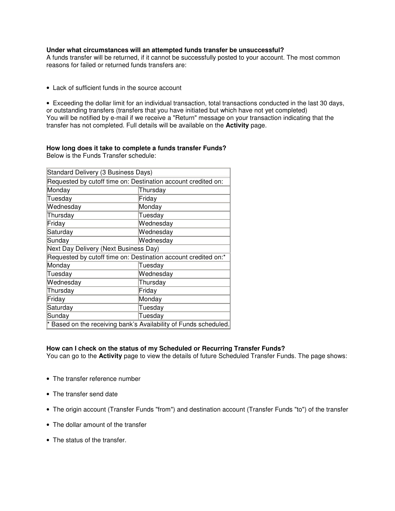# **Under what circumstances will an attempted funds transfer be unsuccessful?**

A funds transfer will be returned, if it cannot be successfully posted to your account. The most common reasons for failed or returned funds transfers are:

- Lack of sufficient funds in the source account
- Exceeding the dollar limit for an individual transaction, total transactions conducted in the last 30 days, or outstanding transfers (transfers that you have initiated but which have not yet completed) You will be notified by e-mail if we receive a "Return" message on your transaction indicating that the transfer has not completed. Full details will be available on the **Activity** page.

#### **How long does it take to complete a funds transfer Funds?**  Below is the Funds Transfer schedule:

| Standard Delivery (3 Business Days)                            |                                                                  |  |  |
|----------------------------------------------------------------|------------------------------------------------------------------|--|--|
| Requested by cutoff time on: Destination account credited on:  |                                                                  |  |  |
| Monday                                                         | Thursday                                                         |  |  |
| Tuesday                                                        | Friday                                                           |  |  |
| Wednesday                                                      | Monday                                                           |  |  |
| Thursday                                                       | Tuesday                                                          |  |  |
| Friday                                                         | Wednesday                                                        |  |  |
| Saturday                                                       | Wednesday                                                        |  |  |
| Sunday                                                         | Wednesday                                                        |  |  |
| Next Day Delivery (Next Business Day)                          |                                                                  |  |  |
| Requested by cutoff time on: Destination account credited on:* |                                                                  |  |  |
| Monday                                                         | Tuesday                                                          |  |  |
| Tuesday                                                        | Wednesday                                                        |  |  |
| Wednesday                                                      | Thursday                                                         |  |  |
| Thursday                                                       | Friday                                                           |  |  |
| Friday                                                         | Monday                                                           |  |  |
| Saturday                                                       | Tuesday                                                          |  |  |
| Sunday                                                         | Tuesday                                                          |  |  |
|                                                                | * Based on the receiving bank's Availability of Funds scheduled. |  |  |

# **How can I check on the status of my Scheduled or Recurring Transfer Funds?**

You can go to the **Activity** page to view the details of future Scheduled Transfer Funds. The page shows:

- The transfer reference number
- The transfer send date
- The origin account (Transfer Funds "from") and destination account (Transfer Funds "to") of the transfer
- The dollar amount of the transfer
- The status of the transfer.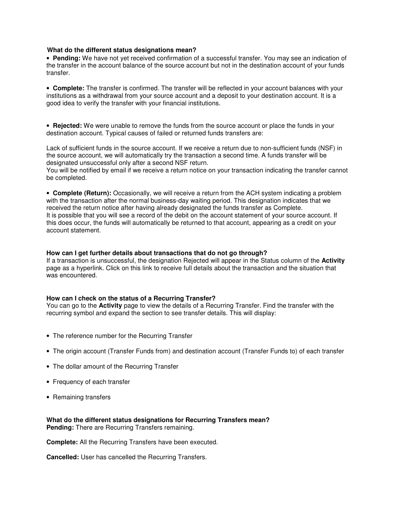## **What do the different status designations mean?**

• **Pending:** We have not yet received confirmation of a successful transfer. You may see an indication of the transfer in the account balance of the source account but not in the destination account of your funds transfer.

• **Complete:** The transfer is confirmed. The transfer will be reflected in your account balances with your institutions as a withdrawal from your source account and a deposit to your destination account. It is a good idea to verify the transfer with your financial institutions.

• **Rejected:** We were unable to remove the funds from the source account or place the funds in your destination account. Typical causes of failed or returned funds transfers are:

Lack of sufficient funds in the source account. If we receive a return due to non-sufficient funds (NSF) in the source account, we will automatically try the transaction a second time. A funds transfer will be designated unsuccessful only after a second NSF return.

You will be notified by email if we receive a return notice on your transaction indicating the transfer cannot be completed.

• **Complete (Return):** Occasionally, we will receive a return from the ACH system indicating a problem with the transaction after the normal business-day waiting period. This designation indicates that we received the return notice after having already designated the funds transfer as Complete. It is possible that you will see a record of the debit on the account statement of your source account. If this does occur, the funds will automatically be returned to that account, appearing as a credit on your account statement.

## **How can I get further details about transactions that do not go through?**

If a transaction is unsuccessful, the designation Rejected will appear in the Status column of the **Activity** page as a hyperlink. Click on this link to receive full details about the transaction and the situation that was encountered.

# **How can I check on the status of a Recurring Transfer?**

You can go to the **Activity** page to view the details of a Recurring Transfer. Find the transfer with the recurring symbol and expand the section to see transfer details. This will display:

- The reference number for the Recurring Transfer
- The origin account (Transfer Funds from) and destination account (Transfer Funds to) of each transfer
- The dollar amount of the Recurring Transfer
- Frequency of each transfer
- Remaining transfers

**What do the different status designations for Recurring Transfers mean? Pending:** There are Recurring Transfers remaining.

**Complete:** All the Recurring Transfers have been executed.

**Cancelled:** User has cancelled the Recurring Transfers.